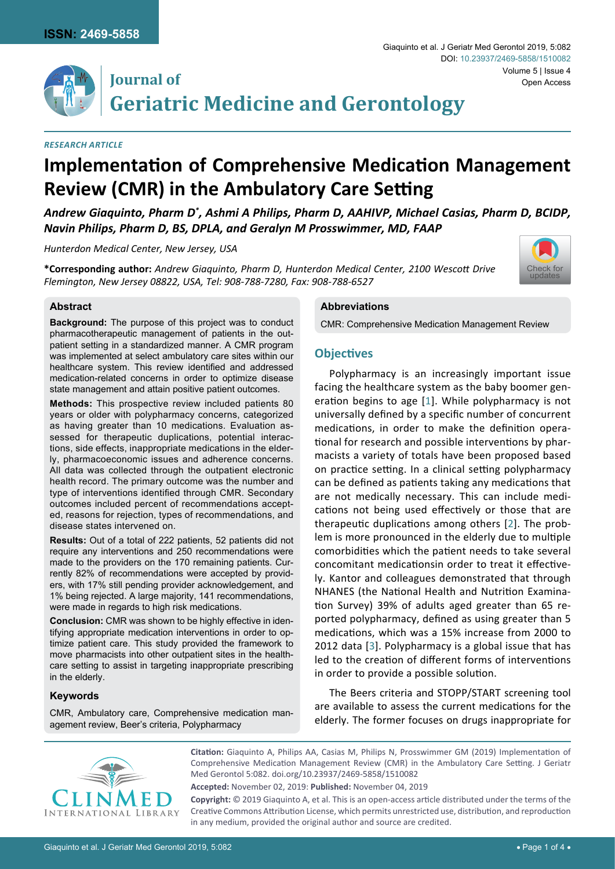

## **Journal of Geriatric Medicine and Gerontology**

#### *Research Article*

# **Implementation of Comprehensive Medication Management Review (CMR) in the Ambulatory Care Setting**

*Andrew Giaquinto, Pharm D\* , Ashmi A Philips, Pharm D, AAHIVP, Michael Casias, Pharm D, BCIDP, Navin Philips, Pharm D, BS, DPLA, and Geralyn M Prosswimmer, MD, FAAP* 

*Hunterdon Medical Center, New Jersey, USA*

**\*Corresponding author:** *Andrew Giaquinto, Pharm D, Hunterdon Medical Center, 2100 Wescott Drive Flemington, New Jersey 08822, USA, Tel: 908-788-7280, Fax: 908-788-6527*



### **Abstract**

**Background:** The purpose of this project was to conduct pharmacotherapeutic management of patients in the outpatient setting in a standardized manner. A CMR program was implemented at select ambulatory care sites within our healthcare system. This review identified and addressed medication-related concerns in order to optimize disease state management and attain positive patient outcomes.

**Methods:** This prospective review included patients 80 years or older with polypharmacy concerns, categorized as having greater than 10 medications. Evaluation assessed for therapeutic duplications, potential interactions, side effects, inappropriate medications in the elderly, pharmacoeconomic issues and adherence concerns. All data was collected through the outpatient electronic health record. The primary outcome was the number and type of interventions identified through CMR. Secondary outcomes included percent of recommendations accepted, reasons for rejection, types of recommendations, and disease states intervened on.

**Results:** Out of a total of 222 patients, 52 patients did not require any interventions and 250 recommendations were made to the providers on the 170 remaining patients. Currently 82% of recommendations were accepted by providers, with 17% still pending provider acknowledgement, and 1% being rejected. A large majority, 141 recommendations, were made in regards to high risk medications.

**Conclusion:** CMR was shown to be highly effective in identifying appropriate medication interventions in order to optimize patient care. This study provided the framework to move pharmacists into other outpatient sites in the healthcare setting to assist in targeting inappropriate prescribing in the elderly.

### **Keywords**

CMR, Ambulatory care, Comprehensive medication management review, Beer's criteria, Polypharmacy

#### **Abbreviations**

CMR: Comprehensive Medication Management Review

## **Objectives**

Polypharmacy is an increasingly important issue facing the healthcare system as the baby boomer generation begins to age [[1](#page-2-0)]. While polypharmacy is not universally defined by a specific number of concurrent medications, in order to make the definition operational for research and possible interventions by pharmacists a variety of totals have been proposed based on practice setting. In a clinical setting polypharmacy can be defined as patients taking any medications that are not medically necessary. This can include medications not being used effectively or those that are therapeutic duplications among others [[2](#page-2-1)]. The problem is more pronounced in the elderly due to multiple comorbidities which the patient needs to take several concomitant medicationsin order to treat it effectively. Kantor and colleagues demonstrated that through NHANES (the National Health and Nutrition Examination Survey) 39% of adults aged greater than 65 reported polypharmacy, defined as using greater than 5 medications, which was a 15% increase from 2000 to 2012 data [\[3](#page-2-2)]. Polypharmacy is a global issue that has led to the creation of different forms of interventions in order to provide a possible solution.

The Beers criteria and STOPP/START screening tool are available to assess the current medications for the elderly. The former focuses on drugs inappropriate for



**Citation:** Giaquinto A, Philips AA, Casias M, Philips N, Prosswimmer GM (2019) Implementation of Comprehensive Medication Management Review (CMR) in the Ambulatory Care Setting. J Geriatr Med Gerontol 5:082. [doi.org/10.23937/2469-5858/1510082](https://doi.org/10.23937/2469-5858/1510082)

**Accepted:** November 02, 2019: **Published:** November 04, 2019

**Copyright:** © 2019 Giaquinto A, et al. This is an open-access article distributed under the terms of the Creative Commons Attribution License, which permits unrestricted use, distribution, and reproduction in any medium, provided the original author and source are credited.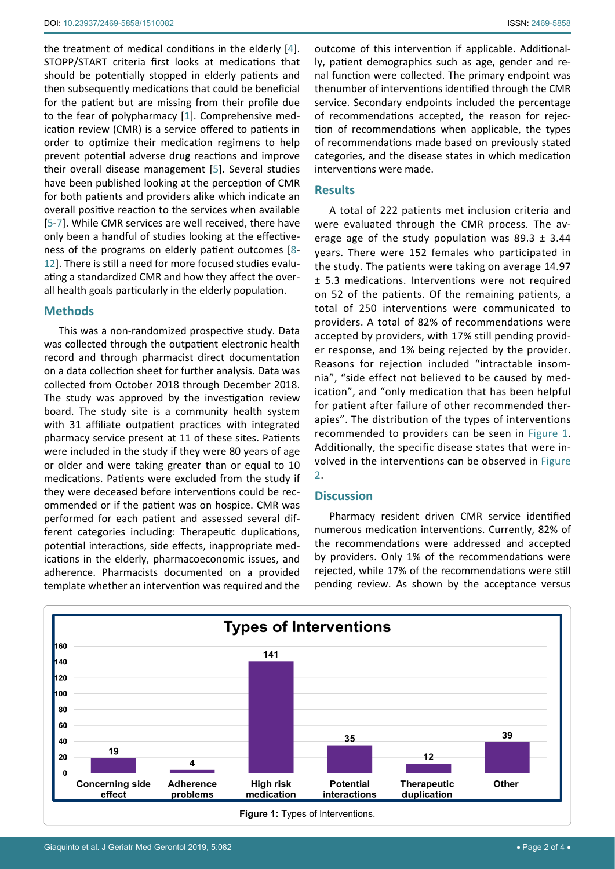the treatment of medical conditions in the elderly [[4](#page-3-0)]. STOPP/START criteria first looks at medications that should be potentially stopped in elderly patients and then subsequently medications that could be beneficial for the patient but are missing from their profile due to the fear of polypharmacy [[1](#page-2-0)]. Comprehensive medication review (CMR) is a service offered to patients in order to optimize their medication regimens to help prevent potential adverse drug reactions and improve their overall disease management [[5](#page-3-1)]. Several studies have been published looking at the perception of CMR for both patients and providers alike which indicate an overall positive reaction to the services when available [[5](#page-3-1)-[7](#page-3-2)]. While CMR services are well received, there have only been a handful of studies looking at the effectiveness of the programs on elderly patient outcomes [[8](#page-3-3)- [12](#page-3-4)]. There is still a need for more focused studies evaluating a standardized CMR and how they affect the overall health goals particularly in the elderly population.

## **Methods**

This was a non-randomized prospective study. Data was collected through the outpatient electronic health record and through pharmacist direct documentation on a data collection sheet for further analysis. Data was collected from October 2018 through December 2018. The study was approved by the investigation review board. The study site is a community health system with 31 affiliate outpatient practices with integrated pharmacy service present at 11 of these sites. Patients were included in the study if they were 80 years of age or older and were taking greater than or equal to 10 medications. Patients were excluded from the study if they were deceased before interventions could be recommended or if the patient was on hospice. CMR was performed for each patient and assessed several different categories including: Therapeutic duplications, potential interactions, side effects, inappropriate medications in the elderly, pharmacoeconomic issues, and adherence. Pharmacists documented on a provided template whether an intervention was required and the outcome of this intervention if applicable. Additionally, patient demographics such as age, gender and renal function were collected. The primary endpoint was thenumber of interventions identified through the CMR service. Secondary endpoints included the percentage of recommendations accepted, the reason for rejection of recommendations when applicable, the types of recommendations made based on previously stated categories, and the disease states in which medication interventions were made.

## **Results**

A total of 222 patients met inclusion criteria and were evaluated through the CMR process. The average age of the study population was  $89.3 \pm 3.44$ years. There were 152 females who participated in the study. The patients were taking on average 14.97 ± 5.3 medications. Interventions were not required on 52 of the patients. Of the remaining patients, a total of 250 interventions were communicated to providers. A total of 82% of recommendations were accepted by providers, with 17% still pending provider response, and 1% being rejected by the provider. Reasons for rejection included "intractable insomnia", "side effect not believed to be caused by medication", and "only medication that has been helpful for patient after failure of other recommended therapies". The distribution of the types of interventions recommended to providers can be seen in [Figure 1.](#page-1-0) Additionally, the specific disease states that were involved in the interventions can be observed in [Figure](#page-2-3)  [2](#page-2-3).

## **Discussion**

Pharmacy resident driven CMR service identified numerous medication interventions. Currently, 82% of the recommendations were addressed and accepted by providers. Only 1% of the recommendations were rejected, while 17% of the recommendations were still pending review. As shown by the acceptance versus

<span id="page-1-0"></span>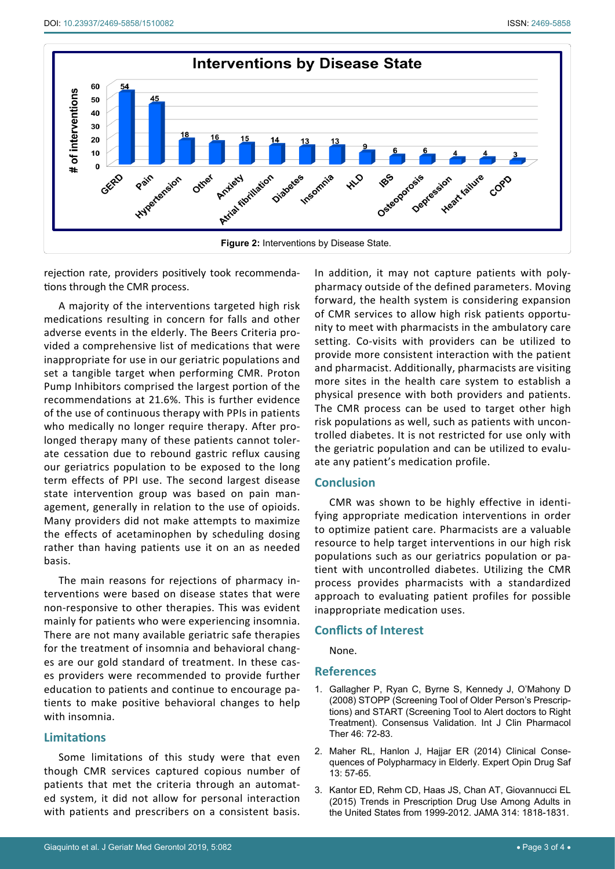<span id="page-2-3"></span>

rejection rate, providers positively took recommendations through the CMR process.

A majority of the interventions targeted high risk medications resulting in concern for falls and other adverse events in the elderly. The Beers Criteria provided a comprehensive list of medications that were inappropriate for use in our geriatric populations and set a tangible target when performing CMR. Proton Pump Inhibitors comprised the largest portion of the recommendations at 21.6%. This is further evidence of the use of continuous therapy with PPIs in patients who medically no longer require therapy. After prolonged therapy many of these patients cannot tolerate cessation due to rebound gastric reflux causing our geriatrics population to be exposed to the long term effects of PPI use. The second largest disease state intervention group was based on pain management, generally in relation to the use of opioids. Many providers did not make attempts to maximize the effects of acetaminophen by scheduling dosing rather than having patients use it on an as needed basis.

The main reasons for rejections of pharmacy interventions were based on disease states that were non-responsive to other therapies. This was evident mainly for patients who were experiencing insomnia. There are not many available geriatric safe therapies for the treatment of insomnia and behavioral changes are our gold standard of treatment. In these cases providers were recommended to provide further education to patients and continue to encourage patients to make positive behavioral changes to help with insomnia.

## **Limitations**

Some limitations of this study were that even though CMR services captured copious number of patients that met the criteria through an automated system, it did not allow for personal interaction with patients and prescribers on a consistent basis.

In addition, it may not capture patients with polypharmacy outside of the defined parameters. Moving forward, the health system is considering expansion of CMR services to allow high risk patients opportunity to meet with pharmacists in the ambulatory care setting. Co-visits with providers can be utilized to provide more consistent interaction with the patient and pharmacist. Additionally, pharmacists are visiting more sites in the health care system to establish a physical presence with both providers and patients. The CMR process can be used to target other high risk populations as well, such as patients with uncontrolled diabetes. It is not restricted for use only with the geriatric population and can be utilized to evaluate any patient's medication profile.

## **Conclusion**

CMR was shown to be highly effective in identifying appropriate medication interventions in order to optimize patient care. Pharmacists are a valuable resource to help target interventions in our high risk populations such as our geriatrics population or patient with uncontrolled diabetes. Utilizing the CMR process provides pharmacists with a standardized approach to evaluating patient profiles for possible inappropriate medication uses.

## **Conflicts of Interest**

None.

### **References**

- <span id="page-2-0"></span>1. [Gallagher P, Ryan C, Byrne S, Kennedy J, O'Mahony D](https://www.ncbi.nlm.nih.gov/pubmed/18218287)  [\(2008\) STOPP \(Screening Tool of Older Person's Prescrip](https://www.ncbi.nlm.nih.gov/pubmed/18218287)[tions\) and START \(Screening Tool to Alert doctors to Right](https://www.ncbi.nlm.nih.gov/pubmed/18218287)  [Treatment\). Consensus Validation. Int J Clin Pharmacol](https://www.ncbi.nlm.nih.gov/pubmed/18218287)  [Ther 46: 72-83.](https://www.ncbi.nlm.nih.gov/pubmed/18218287)
- <span id="page-2-1"></span>2. [Maher RL, Hanlon J, Hajjar ER \(2014\) Clinical Conse](https://www.ncbi.nlm.nih.gov/pubmed/24073682)[quences of Polypharmacy in Elderly. Expert Opin Drug Saf](https://www.ncbi.nlm.nih.gov/pubmed/24073682)  [13: 57-65.](https://www.ncbi.nlm.nih.gov/pubmed/24073682)
- <span id="page-2-2"></span>3. [Kantor ED, Rehm CD, Haas JS, Chan AT, Giovannucci EL](https://www.ncbi.nlm.nih.gov/pubmed/26529160)  [\(2015\) Trends in Prescription Drug Use Among Adults in](https://www.ncbi.nlm.nih.gov/pubmed/26529160)  [the United States from 1999-2012. JAMA](https://www.ncbi.nlm.nih.gov/pubmed/26529160) 314: 1818-1831.